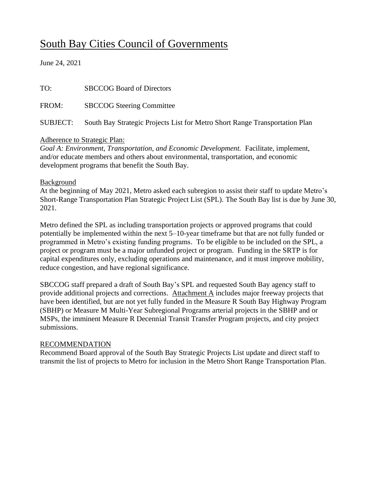## South Bay Cities Council of Governments

June 24, 2021

| TO:      | <b>SBCCOG Board of Directors</b>                                            |
|----------|-----------------------------------------------------------------------------|
| FROM:    | <b>SBCCOG Steering Committee</b>                                            |
| SUBJECT: | South Bay Strategic Projects List for Metro Short Range Transportation Plan |

## Adherence to Strategic Plan:

*Goal A: Environment, Transportation, and Economic Development.* Facilitate, implement, and/or educate members and others about environmental, transportation, and economic development programs that benefit the South Bay.

## **Background**

At the beginning of May 2021, Metro asked each subregion to assist their staff to update Metro's Short-Range Transportation Plan Strategic Project List (SPL). The South Bay list is due by June 30, 2021.

Metro defined the SPL as including transportation projects or approved programs that could potentially be implemented within the next 5–10-year timeframe but that are not fully funded or programmed in Metro's existing funding programs. To be eligible to be included on the SPL, a project or program must be a major unfunded project or program. Funding in the SRTP is for capital expenditures only, excluding operations and maintenance, and it must improve mobility, reduce congestion, and have regional significance.

SBCCOG staff prepared a draft of South Bay's SPL and requested South Bay agency staff to provide additional projects and corrections. Attachment A includes major freeway projects that have been identified, but are not yet fully funded in the Measure R South Bay Highway Program (SBHP) or Measure M Multi-Year Subregional Programs arterial projects in the SBHP and or MSPs, the imminent Measure R Decennial Transit Transfer Program projects, and city project submissions.

## RECOMMENDATION

Recommend Board approval of the South Bay Strategic Projects List update and direct staff to transmit the list of projects to Metro for inclusion in the Metro Short Range Transportation Plan.